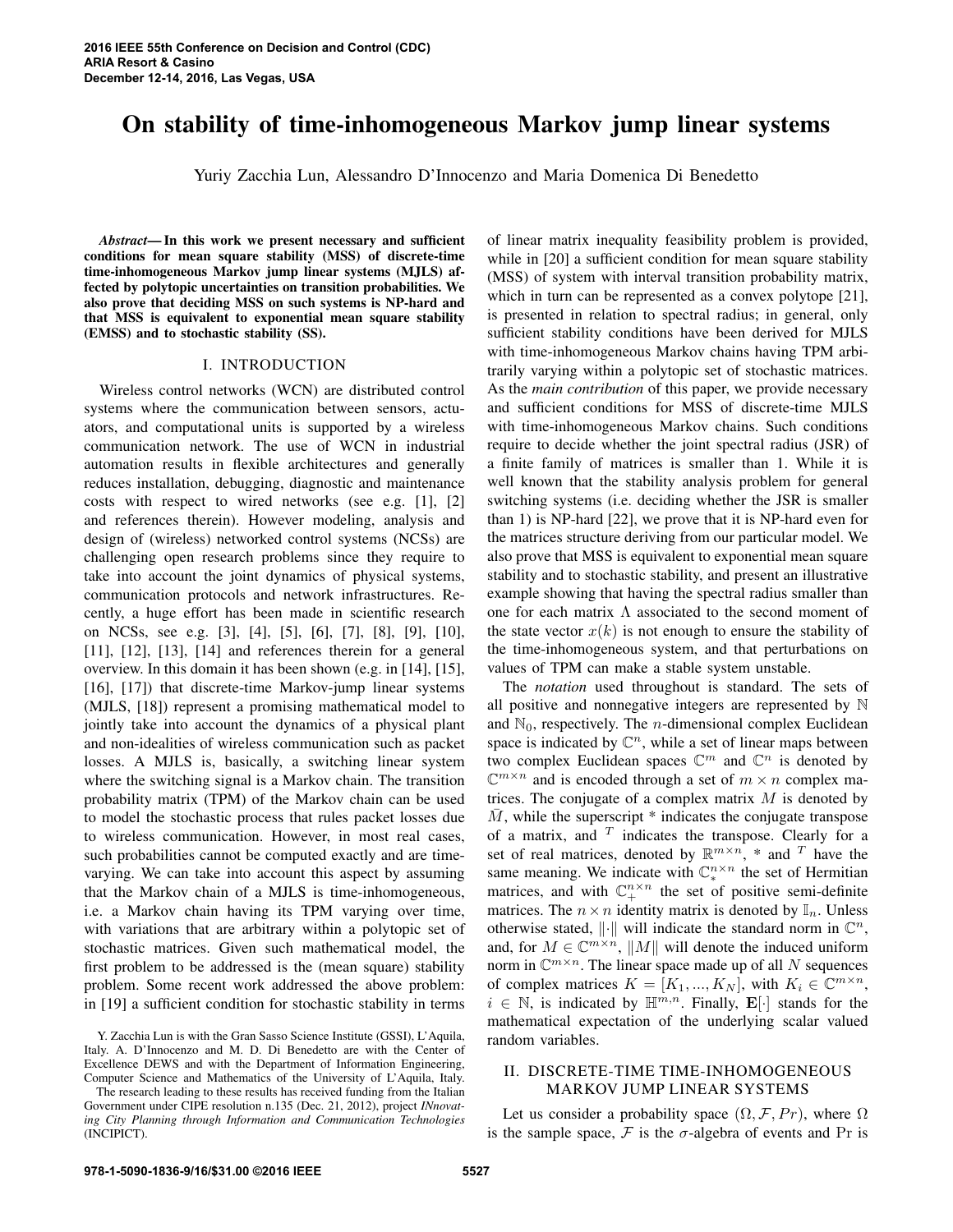# On stability of time-inhomogeneous Markov jump linear systems

Yuriy Zacchia Lun, Alessandro D'Innocenzo and Maria Domenica Di Benedetto

*Abstract*— In this work we present necessary and sufficient conditions for mean square stability (MSS) of discrete-time time-inhomogeneous Markov jump linear systems (MJLS) affected by polytopic uncertainties on transition probabilities. We also prove that deciding MSS on such systems is NP-hard and that MSS is equivalent to exponential mean square stability (EMSS) and to stochastic stability (SS).

### I. INTRODUCTION

Wireless control networks (WCN) are distributed control systems where the communication between sensors, actuators, and computational units is supported by a wireless communication network. The use of WCN in industrial automation results in flexible architectures and generally reduces installation, debugging, diagnostic and maintenance costs with respect to wired networks (see e.g. [1], [2] and references therein). However modeling, analysis and design of (wireless) networked control systems (NCSs) are challenging open research problems since they require to take into account the joint dynamics of physical systems, communication protocols and network infrastructures. Recently, a huge effort has been made in scientific research on NCSs, see e.g. [3], [4], [5], [6], [7], [8], [9], [10], [11], [12], [13], [14] and references therein for a general overview. In this domain it has been shown (e.g. in [14], [15], [16], [17]) that discrete-time Markov-jump linear systems (MJLS, [18]) represent a promising mathematical model to jointly take into account the dynamics of a physical plant and non-idealities of wireless communication such as packet losses. A MJLS is, basically, a switching linear system where the switching signal is a Markov chain. The transition probability matrix (TPM) of the Markov chain can be used to model the stochastic process that rules packet losses due to wireless communication. However, in most real cases, such probabilities cannot be computed exactly and are timevarying. We can take into account this aspect by assuming that the Markov chain of a MJLS is time-inhomogeneous, i.e. a Markov chain having its TPM varying over time, with variations that are arbitrary within a polytopic set of stochastic matrices. Given such mathematical model, the first problem to be addressed is the (mean square) stability problem. Some recent work addressed the above problem: in [19] a sufficient condition for stochastic stability in terms of linear matrix inequality feasibility problem is provided, while in [20] a sufficient condition for mean square stability (MSS) of system with interval transition probability matrix, which in turn can be represented as a convex polytope [21], is presented in relation to spectral radius; in general, only sufficient stability conditions have been derived for MJLS with time-inhomogeneous Markov chains having TPM arbitrarily varying within a polytopic set of stochastic matrices. As the *main contribution* of this paper, we provide necessary and sufficient conditions for MSS of discrete-time MJLS with time-inhomogeneous Markov chains. Such conditions require to decide whether the joint spectral radius (JSR) of a finite family of matrices is smaller than 1. While it is well known that the stability analysis problem for general switching systems (i.e. deciding whether the JSR is smaller than 1) is NP-hard [22], we prove that it is NP-hard even for the matrices structure deriving from our particular model. We also prove that MSS is equivalent to exponential mean square stability and to stochastic stability, and present an illustrative example showing that having the spectral radius smaller than one for each matrix  $\Lambda$  associated to the second moment of the state vector  $x(k)$  is not enough to ensure the stability of the time-inhomogeneous system, and that perturbations on values of TPM can make a stable system unstable.

The *notation* used throughout is standard. The sets of all positive and nonnegative integers are represented by N and  $\mathbb{N}_0$ , respectively. The *n*-dimensional complex Euclidean space is indicated by  $\mathbb{C}^n$ , while a set of linear maps between two complex Euclidean spaces  $\mathbb{C}^m$  and  $\mathbb{C}^n$  is denoted by  $\mathbb{C}^{m \times n}$  and is encoded through a set of  $m \times n$  complex matrices. The conjugate of a complex matrix  $M$  is denoted by  $M$ , while the superscript  $*$  indicates the conjugate transpose of a matrix, and  $T$  indicates the transpose. Clearly for a set of real matrices, denoted by  $\mathbb{R}^{m \times n}$ , \* and <sup>T</sup> have the same meaning. We indicate with  $\mathbb{C}_{*}^{n \times n}$  the set of Hermitian matrices, and with  $\mathbb{C}_+^{n \times n}$  the set of positive semi-definite matrices. The  $n \times n$  identity matrix is denoted by  $\mathbb{I}_n$ . Unless otherwise stated,  $\|\cdot\|$  will indicate the standard norm in  $\mathbb{C}^n$ , and, for  $M \in \mathbb{C}^{m \times n}$ , ||M|| will denote the induced uniform norm in  $\mathbb{C}^{m \times n}$ . The linear space made up of all N sequences of complex matrices  $K = [K_1, ..., K_N]$ , with  $K_i \in \mathbb{C}^{m \times n}$ ,  $i \in \mathbb{N}$ , is indicated by  $\mathbb{H}^{m,n}$ . Finally,  $\mathbf{E}[\cdot]$  stands for the mathematical expectation of the underlying scalar valued random variables.

## II. DISCRETE-TIME TIME-INHOMOGENEOUS MARKOV JUMP LINEAR SYSTEMS

Let us consider a probability space  $(\Omega, \mathcal{F}, Pr)$ , where  $\Omega$ is the sample space,  $\mathcal F$  is the  $\sigma$ -algebra of events and Pr is

Y. Zacchia Lun is with the Gran Sasso Science Institute (GSSI), L'Aquila, Italy. A. D'Innocenzo and M. D. Di Benedetto are with the Center of Excellence DEWS and with the Department of Information Engineering, Computer Science and Mathematics of the University of L'Aquila, Italy.

The research leading to these results has received funding from the Italian Government under CIPE resolution n.135 (Dec. 21, 2012), project *INnovating City Planning through Information and Communication Technologies* (INCIPICT).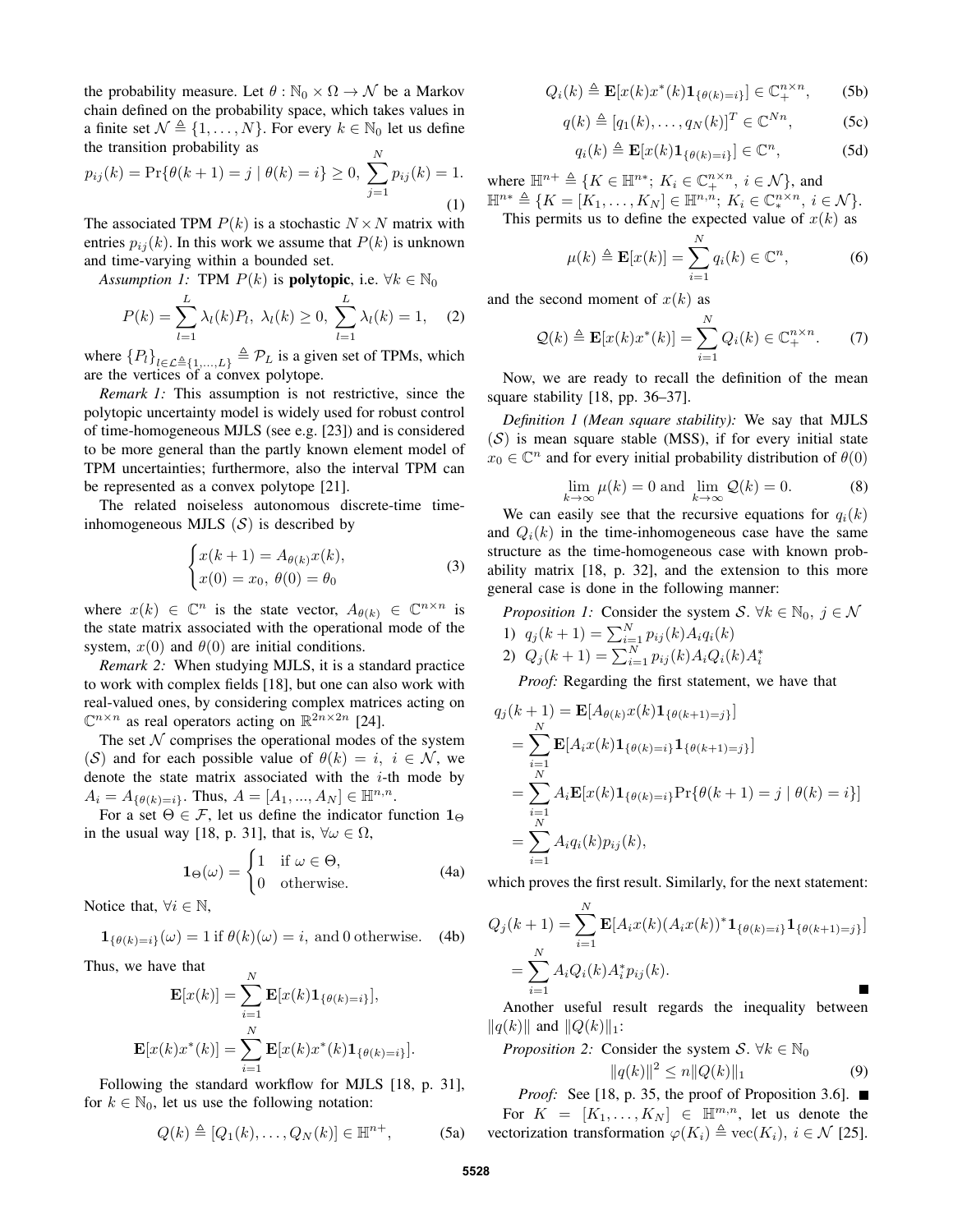the probability measure. Let  $\theta : \mathbb{N}_0 \times \Omega \to \mathcal{N}$  be a Markov chain defined on the probability space, which takes values in a finite set  $\mathcal{N} \triangleq \{1, \ldots, N\}$ . For every  $k \in \mathbb{N}_0$  let us define the transition probability as N

$$
p_{ij}(k) = \Pr\{\theta(k+1) = j \mid \theta(k) = i\} \ge 0, \sum_{j=1}^{N} p_{ij}(k) = 1.
$$
\n(1)

The associated TPM  $P(k)$  is a stochastic  $N \times N$  matrix with entries  $p_{ij}(k)$ . In this work we assume that  $P(k)$  is unknown and time-varying within a bounded set.

*Assumption 1:* TPM  $P(k)$  is **polytopic**, i.e.  $\forall k \in \mathbb{N}_0$ 

$$
P(k) = \sum_{l=1}^{L} \lambda_l(k) P_l, \ \lambda_l(k) \ge 0, \ \sum_{l=1}^{L} \lambda_l(k) = 1, \quad (2)
$$

where  ${P_l}_{l \in \mathcal{L} \triangleq \{1,...,L\}} \triangleq \mathcal{P}_L$  is a given set of TPMs, which are the vertices of a convex polytope.

*Remark 1:* This assumption is not restrictive, since the polytopic uncertainty model is widely used for robust control of time-homogeneous MJLS (see e.g. [23]) and is considered to be more general than the partly known element model of TPM uncertainties; furthermore, also the interval TPM can be represented as a convex polytope [21].

The related noiseless autonomous discrete-time timeinhomogeneous MJLS  $(S)$  is described by

$$
\begin{cases} x(k+1) = A_{\theta(k)}x(k), \\ x(0) = x_0, \ \theta(0) = \theta_0 \end{cases}
$$
 (3)

where  $x(k) \in \mathbb{C}^n$  is the state vector,  $A_{\theta(k)} \in \mathbb{C}^{n \times n}$  is the state matrix associated with the operational mode of the system,  $x(0)$  and  $\theta(0)$  are initial conditions.

*Remark 2:* When studying MJLS, it is a standard practice to work with complex fields [18], but one can also work with real-valued ones, by considering complex matrices acting on  $\mathbb{C}^{n \times n}$  as real operators acting on  $\mathbb{R}^{2n \times 2n}$  [24].

The set  $N$  comprises the operational modes of the system (S) and for each possible value of  $\theta(k) = i$ ,  $i \in \mathcal{N}$ , we denote the state matrix associated with the  $i$ -th mode by  $A_i = A_{\{\theta(k)=i\}}$ . Thus,  $A = [A_1, ..., A_N] \in \mathbb{H}^{n,n}$ .

For a set  $\Theta \in \mathcal{F}$ , let us define the indicator function  $\mathbf{1}_{\Theta}$ in the usual way [18, p. 31], that is,  $\forall \omega \in \Omega$ ,

$$
\mathbf{1}_{\Theta}(\omega) = \begin{cases} 1 & \text{if } \omega \in \Theta, \\ 0 & \text{otherwise.} \end{cases}
$$
 (4a)

Notice that,  $\forall i \in \mathbb{N}$ ,

$$
\mathbf{1}_{\{\theta(k)=i\}}(\omega) = 1 \text{ if } \theta(k)(\omega) = i, \text{ and } 0 \text{ otherwise.} \quad \text{(4b)}
$$

Thus, we have that

$$
\mathbf{E}[x(k)] = \sum_{i=1}^{N} \mathbf{E}[x(k)\mathbf{1}_{\{\theta(k)=i\}}],
$$
  

$$
\mathbf{E}[x(k)x^*(k)] = \sum_{i=1}^{N} \mathbf{E}[x(k)x^*(k)\mathbf{1}_{\{\theta(k)=i\}}].
$$

Following the standard workflow for MJLS [18, p. 31], for  $k \in \mathbb{N}_0$ , let us use the following notation:

$$
Q(k) \triangleq [Q_1(k), \dots, Q_N(k)] \in \mathbb{H}^{n+},
$$
 (5a)

$$
Q_i(k) \triangleq \mathbf{E}[x(k)x^*(k)\mathbf{1}_{\{\theta(k)=i\}}] \in \mathbb{C}_+^{n \times n},\qquad(5b)
$$

$$
q(k) \triangleq [q_1(k), \dots, q_N(k)]^T \in \mathbb{C}^{Nn},
$$
 (5c)

$$
q_i(k) \triangleq \mathbf{E}[x(k)\mathbf{1}_{\{\theta(k)=i\}}] \in \mathbb{C}^n, \tag{5d}
$$

where  $\mathbb{H}^{n+} \triangleq \{ K \in \mathbb{H}^{n*}; K_i \in \mathbb{C}_+^{n \times n}, i \in \mathcal{N} \}$ , and  $\mathbb{H}^{n*} \triangleq \{ K = [K_1, \ldots, K_N] \in \mathbb{H}^{n,n}; K_i \in \mathbb{C}_*^{n \times n}, i \in \mathcal{N} \}.$ 

This permits us to define the expected value of  $x(k)$  as

$$
\mu(k) \triangleq \mathbf{E}[x(k)] = \sum_{i=1}^{N} q_i(k) \in \mathbb{C}^n, \tag{6}
$$

and the second moment of  $x(k)$  as

$$
\mathcal{Q}(k) \triangleq \mathbf{E}[x(k)x^*(k)] = \sum_{i=1}^N Q_i(k) \in \mathbb{C}_+^{n \times n}.
$$
 (7)

Now, we are ready to recall the definition of the mean square stability [18, pp. 36–37].

*Definition 1 (Mean square stability):* We say that MJLS  $(S)$  is mean square stable (MSS), if for every initial state  $x_0 \in \mathbb{C}^n$  and for every initial probability distribution of  $\theta(0)$ 

$$
\lim_{k \to \infty} \mu(k) = 0 \text{ and } \lim_{k \to \infty} \mathcal{Q}(k) = 0.
$$
 (8)

We can easily see that the recursive equations for  $q_i(k)$ and  $Q_i(k)$  in the time-inhomogeneous case have the same structure as the time-homogeneous case with known probability matrix [18, p. 32], and the extension to this more general case is done in the following manner:

*Proposition 1:* Consider the system 
$$
S
$$
.  $\forall k \in \mathbb{N}_0, j \in \mathcal{N}$   
1)  $q_j(k+1) = \sum_{i=1}^N p_{ij}(k) A_i q_i(k)$   
2)  $Q_j(k+1) = \sum_{i=1}^N p_{ij}(k) A_i Q_i(k) A_i^*$ 

*Proof:* Regarding the first statement, we have that

$$
q_j(k+1) = \mathbf{E}[A_{\theta(k)}x(k)\mathbf{1}_{\{\theta(k+1)=j\}}]
$$
  
= 
$$
\sum_{i=1}^{N} \mathbf{E}[A_i x(k)\mathbf{1}_{\{\theta(k)=i\}}\mathbf{1}_{\{\theta(k+1)=j\}}]
$$
  
= 
$$
\sum_{i=1}^{N} A_i \mathbf{E}[x(k)\mathbf{1}_{\{\theta(k)=i\}}\Pr{\theta(k+1)=j | \theta(k)=i\}]
$$
  
= 
$$
\sum_{i=1}^{N} A_i q_i(k) p_{ij}(k),
$$

which proves the first result. Similarly, for the next statement:

$$
Q_j(k+1) = \sum_{i=1}^{N} \mathbf{E}[A_i x(k)(A_i x(k))^* \mathbf{1}_{\{\theta(k)=i\}} \mathbf{1}_{\{\theta(k+1)=j\}}]
$$
  
= 
$$
\sum_{i=1}^{N} A_i Q_i(k) A_i^* p_{ij}(k).
$$

Another useful result regards the inequality between  $||q(k)||$  and  $||Q(k)||_1$ :

*Proposition 2:* Consider the system 
$$
S
$$
.  $\forall k \in \mathbb{N}_0$   

$$
||q(k)||^2 \le n||Q(k)||_1
$$
 (9)

*Proof:* See [18, p. 35, the proof of Proposition 3.6]. ■ For  $K = [K_1, \ldots, K_N] \in \mathbb{H}^{m,n}$ , let us denote the vectorization transformation  $\varphi(K_i) \triangleq \text{vec}(K_i), i \in \mathcal{N}$  [25].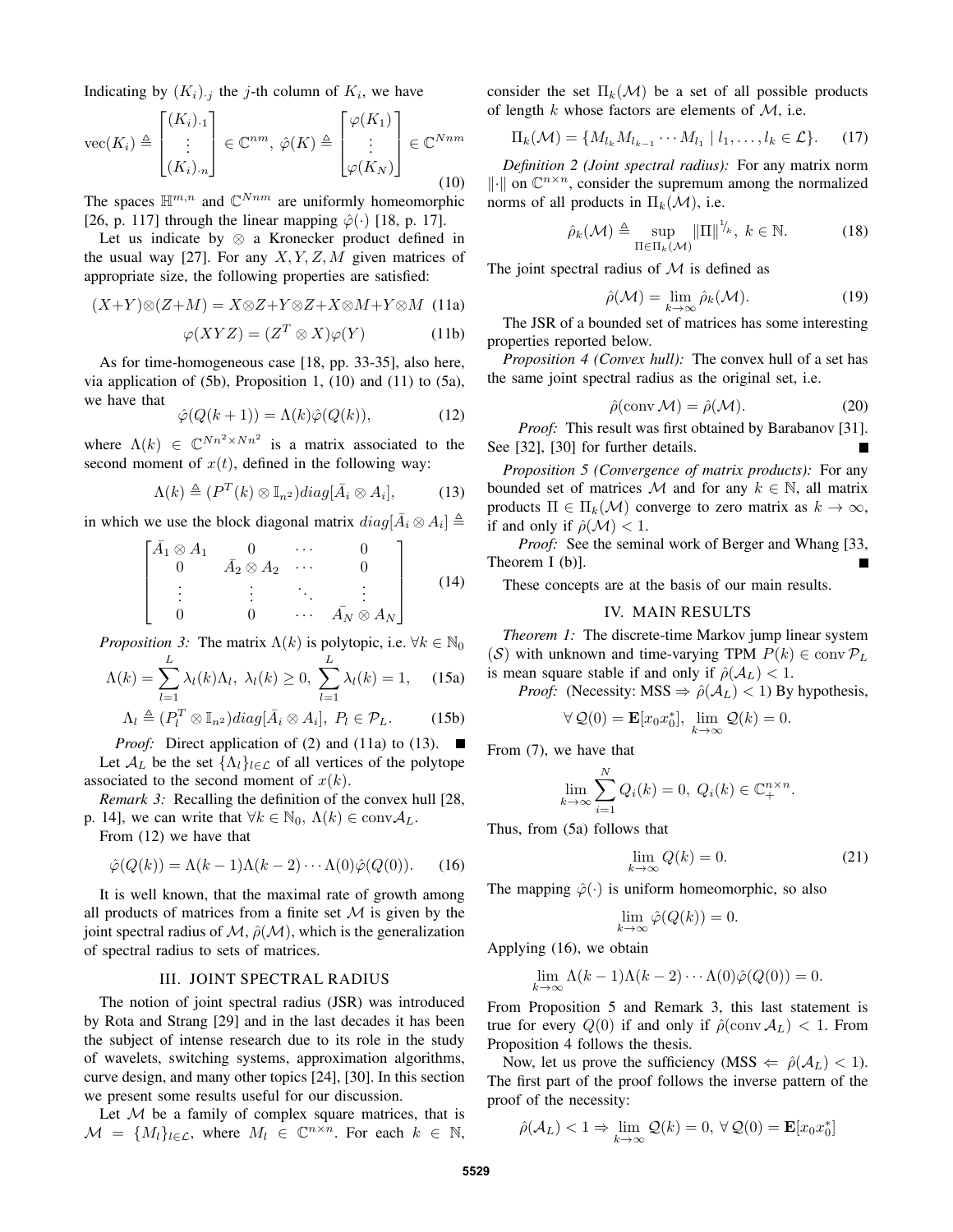Indicating by  $(K_i)_{\cdot j}$  the *j*-th column of  $K_i$ , we have

$$
\text{vec}(K_i) \triangleq \begin{bmatrix} (K_i)_{\cdot 1} \\ \vdots \\ (K_i)_{\cdot n} \end{bmatrix} \in \mathbb{C}^{nm}, \ \hat{\varphi}(K) \triangleq \begin{bmatrix} \varphi(K_1) \\ \vdots \\ \varphi(K_N) \end{bmatrix} \in \mathbb{C}^{Nnm}
$$
\n(10)

The spaces  $\mathbb{H}^{m,n}$  and  $\mathbb{C}^{Nnm}$  are uniformly homeomorphic [26, p. 117] through the linear mapping  $\hat{\varphi}(\cdot)$  [18, p. 17].

Let us indicate by ⊗ a Kronecker product defined in the usual way [27]. For any  $X, Y, Z, M$  given matrices of appropriate size, the following properties are satisfied:

$$
(X+Y)\otimes(Z+M) = X\otimes Z + Y\otimes Z + X\otimes M + Y\otimes M
$$
 (11a)

$$
\varphi(XYZ) = (Z^T \otimes X)\varphi(Y) \tag{11b}
$$

As for time-homogeneous case [18, pp. 33-35], also here, via application of  $(5b)$ , Proposition 1,  $(10)$  and  $(11)$  to  $(5a)$ , we have that

$$
\hat{\varphi}(Q(k+1)) = \Lambda(k)\hat{\varphi}(Q(k)),\tag{12}
$$

where  $\Lambda(k) \in \mathbb{C}^{Nn^2 \times Nn^2}$  is a matrix associated to the second moment of  $x(t)$ , defined in the following way:

$$
\Lambda(k) \triangleq (P^T(k) \otimes \mathbb{I}_{n^2}) diag[\bar{A}_i \otimes A_i], \tag{13}
$$

in which we use the block diagonal matrix  $diag[\bar{A}_i \otimes A_i] \triangleq$ 

$$
\begin{bmatrix} \bar{A}_1 \otimes A_1 & 0 & \cdots & 0 \\ 0 & \bar{A}_2 \otimes A_2 & \cdots & 0 \\ \vdots & \vdots & \ddots & \vdots \\ 0 & 0 & \cdots & \bar{A}_N \otimes A_N \end{bmatrix}
$$
 (14)

*Proposition 3:* The matrix  $\Lambda(k)$  is polytopic, i.e.  $\forall k \in \mathbb{N}_0$ 

$$
\Lambda(k) = \sum_{l=1}^{L} \lambda_l(k) \Lambda_l, \ \lambda_l(k) \ge 0, \ \sum_{l=1}^{L} \lambda_l(k) = 1, \quad (15a)
$$

$$
\Lambda_l \triangleq (P_l^T \otimes \mathbb{I}_{n^2}) diag[\bar{A}_i \otimes A_i], \ P_l \in \mathcal{P}_L.
$$
 (15b)

*Proof:* Direct application of (2) and (11a) to (13). ■ Let  $\mathcal{A}_L$  be the set  $\{\Lambda_l\}_{l \in \mathcal{L}}$  of all vertices of the polytope associated to the second moment of  $x(k)$ .

*Remark 3:* Recalling the definition of the convex hull [28, p. 14], we can write that  $\forall k \in \mathbb{N}_0$ ,  $\Lambda(k) \in \text{conv}A_L$ .

From (12) we have that

$$
\hat{\varphi}(Q(k)) = \Lambda(k-1)\Lambda(k-2)\cdots\Lambda(0)\hat{\varphi}(Q(0)).\tag{16}
$$

It is well known, that the maximal rate of growth among all products of matrices from a finite set  $M$  is given by the joint spectral radius of  $M$ ,  $\hat{\rho}(M)$ , which is the generalization of spectral radius to sets of matrices.

#### III. JOINT SPECTRAL RADIUS

The notion of joint spectral radius (JSR) was introduced by Rota and Strang [29] and in the last decades it has been the subject of intense research due to its role in the study of wavelets, switching systems, approximation algorithms, curve design, and many other topics [24], [30]. In this section we present some results useful for our discussion.

Let  $M$  be a family of complex square matrices, that is  $\mathcal{M} = \{M_l\}_{l \in \mathcal{L}}$ , where  $M_l \in \mathbb{C}^{n \times n}$ . For each  $k \in \mathbb{N}$ ,

consider the set  $\Pi_k(\mathcal{M})$  be a set of all possible products of length k whose factors are elements of  $M$ , i.e.

$$
\Pi_k(\mathcal{M}) = \{ M_{l_k} M_{l_{k-1}} \cdots M_{l_1} \mid l_1, \ldots, l_k \in \mathcal{L} \}.
$$
 (17)

*Definition 2 (Joint spectral radius):* For any matrix norm  $\|\cdot\|$  on  $\mathbb{C}^{n\times n}$ , consider the supremum among the normalized norms of all products in  $\Pi_k(\mathcal{M})$ , i.e.

$$
\hat{\rho}_k(\mathcal{M}) \triangleq \sup_{\Pi \in \Pi_k(\mathcal{M})} \|\Pi\|^{1/k}, \ k \in \mathbb{N}.
$$
 (18)

The joint spectral radius of  $M$  is defined as

$$
\hat{\rho}(\mathcal{M}) = \lim_{k \to \infty} \hat{\rho}_k(\mathcal{M}). \tag{19}
$$

The JSR of a bounded set of matrices has some interesting properties reported below.

*Proposition 4 (Convex hull):* The convex hull of a set has the same joint spectral radius as the original set, i.e.

$$
\hat{\rho}(\text{conv}\,\mathcal{M}) = \hat{\rho}(\mathcal{M}).\tag{20}
$$

*Proof:* This result was first obtained by Barabanov [31]. See [32], [30] for further details.

*Proposition 5 (Convergence of matrix products):* For any bounded set of matrices M and for any  $k \in \mathbb{N}$ , all matrix products  $\Pi \in \Pi_k(\mathcal{M})$  converge to zero matrix as  $k \to \infty$ , if and only if  $\hat{\rho}(\mathcal{M}) < 1$ .

*Proof:* See the seminal work of Berger and Whang [33, Theorem I (b)].

These concepts are at the basis of our main results.

## IV. MAIN RESULTS

*Theorem 1:* The discrete-time Markov jump linear system (S) with unknown and time-varying TPM  $P(k) \in \text{conv } \mathcal{P}_L$ is mean square stable if and only if  $\hat{\rho}(A_L) < 1$ .

*Proof:* (Necessity: MSS  $\Rightarrow \hat{\rho}(\mathcal{A}_L) < 1$ ) By hypothesis,

$$
\forall \mathcal{Q}(0) = \mathbf{E}[x_0 x_0^*], \lim_{k \to \infty} \mathcal{Q}(k) = 0.
$$

From (7), we have that

$$
\lim_{k \to \infty} \sum_{i=1}^{N} Q_i(k) = 0, \ Q_i(k) \in \mathbb{C}_+^{n \times n}.
$$

Thus, from (5a) follows that

$$
\lim_{k \to \infty} Q(k) = 0. \tag{21}
$$

The mapping  $\hat{\varphi}(\cdot)$  is uniform homeomorphic, so also

$$
\lim_{k \to \infty} \hat{\varphi}(Q(k)) = 0.
$$

Applying (16), we obtain

$$
\lim_{k \to \infty} \Lambda(k-1)\Lambda(k-2) \cdots \Lambda(0)\hat{\varphi}(Q(0)) = 0.
$$

From Proposition 5 and Remark 3, this last statement is true for every  $Q(0)$  if and only if  $\hat{\rho}(\text{conv}\,\mathcal{A}_L) < 1$ . From Proposition 4 follows the thesis.

Now, let us prove the sufficiency (MSS  $\Leftarrow$   $\hat{\rho}(\mathcal{A}_L)$  < 1). The first part of the proof follows the inverse pattern of the proof of the necessity:

$$
\hat{\rho}(\mathcal{A}_L) < 1 \Rightarrow \lim_{k \to \infty} \mathcal{Q}(k) = 0, \ \forall \ \mathcal{Q}(0) = \mathbf{E}[x_0 x_0^*]
$$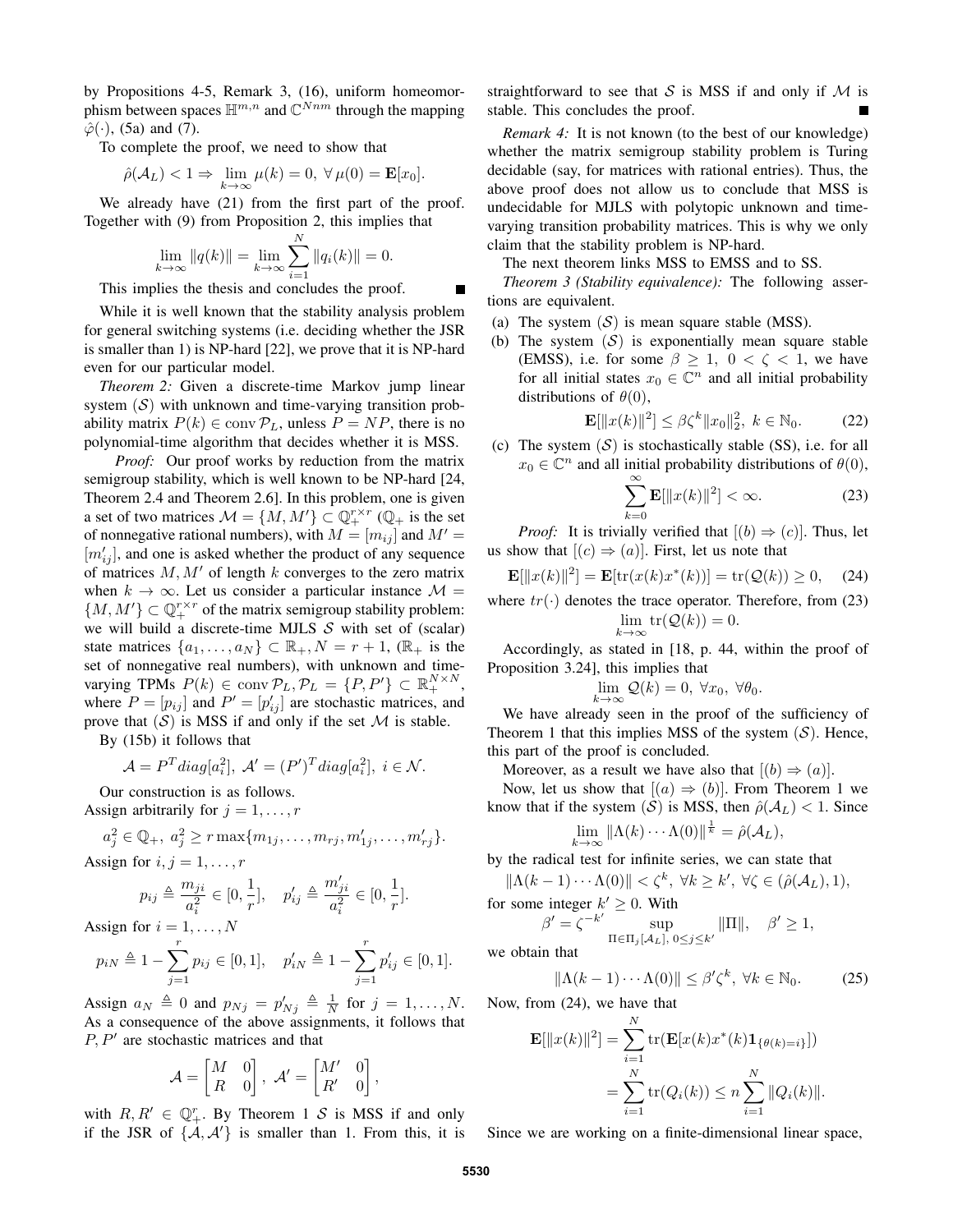by Propositions 4-5, Remark 3, (16), uniform homeomorphism between spaces  $\mathbb{H}^{m,n}$  and  $\mathbb{C}^{Nnm}$  through the mapping  $\hat{\varphi}(\cdot)$ , (5a) and (7).

To complete the proof, we need to show that

$$
\hat{\rho}(\mathcal{A}_L) < 1 \Rightarrow \lim_{k \to \infty} \mu(k) = 0, \ \forall \mu(0) = \mathbf{E}[x_0].
$$

We already have  $(21)$  from the first part of the proof. Together with (9) from Proposition 2, this implies that

$$
\lim_{k \to \infty} \|q(k)\| = \lim_{k \to \infty} \sum_{i=1}^{N} \|q_i(k)\| = 0.
$$

This implies the thesis and concludes the proof.

While it is well known that the stability analysis problem for general switching systems (i.e. deciding whether the JSR is smaller than 1) is NP-hard [22], we prove that it is NP-hard even for our particular model.

*Theorem 2:* Given a discrete-time Markov jump linear system  $(S)$  with unknown and time-varying transition probability matrix  $P(k) \in \text{conv } \mathcal{P}_L$ , unless  $P = NP$ , there is no polynomial-time algorithm that decides whether it is MSS.

*Proof:* Our proof works by reduction from the matrix semigroup stability, which is well known to be NP-hard [24, Theorem 2.4 and Theorem 2.6]. In this problem, one is given a set of two matrices  $\mathcal{M} = \{M, M'\} \subset \mathbb{Q}_+^{r \times r}$  ( $\mathbb{Q}_+$  is the set of nonnegative rational numbers), with  $M = [m_{ij}]$  and  $M' =$  $[m'_{ij}]$ , and one is asked whether the product of any sequence of matrices  $M, M'$  of length k converges to the zero matrix when  $k \to \infty$ . Let us consider a particular instance  $\mathcal{M} =$  $\{M, M'\} \subset \mathbb{Q}^{r \times r}_+$  of the matrix semigroup stability problem: we will build a discrete-time MJLS  $S$  with set of (scalar) state matrices  $\{a_1, \ldots, a_N\} \subset \mathbb{R}_+, N = r + 1$ ,  $(\mathbb{R}_+$  is the set of nonnegative real numbers), with unknown and timevarying TPMs  $P(k) \in \text{conv } \mathcal{P}_L, \mathcal{P}_L = \{P, P'\} \subset \mathbb{R}_+^{N \times N}$ , where  $P = [p_{ij}]$  and  $P' = [p'_{ij}]$  are stochastic matrices, and prove that  $(S)$  is MSS if and only if the set M is stable.

By (15b) it follows that

$$
\mathcal{A} = P^T diag[a_i^2], \ \mathcal{A}' = (P')^T diag[a_i^2], \ i \in \mathcal{N}.
$$

Our construction is as follows. Assign arbitrarily for  $j = 1, \ldots, r$ 

$$
a_j^2 \in \mathbb{Q}_+, a_j^2 \ge r \max\{m_{1j}, \ldots, m_{rj}, m'_{1j}, \ldots, m'_{rj}\}.
$$

Assign for  $i, j = 1, \ldots, r$ 

$$
p_{ij} \triangleq \frac{m_{ji}}{a_i^2} \in [0, \frac{1}{r}], \quad p'_{ij} \triangleq \frac{m'_{ji}}{a_i^2} \in [0, \frac{1}{r}].
$$

Assign for  $i = 1, \ldots, N$ 

$$
p_{iN} \triangleq 1 - \sum_{j=1}^{r} p_{ij} \in [0, 1], \quad p'_{iN} \triangleq 1 - \sum_{j=1}^{r} p'_{ij} \in [0, 1].
$$

Assign  $a_N \triangleq 0$  and  $p_{Nj} = p'_{Nj} \triangleq \frac{1}{N}$  for  $j = 1, ..., N$ . As a consequence of the above assignments, it follows that  $P, P'$  are stochastic matrices and that

$$
\mathcal{A} = \begin{bmatrix} M & 0 \\ R & 0 \end{bmatrix}, \ \mathcal{A}' = \begin{bmatrix} M' & 0 \\ R' & 0 \end{bmatrix},
$$

with  $R, R' \in \mathbb{Q}_+^r$ . By Theorem 1 S is MSS if and only if the JSR of  $\{A, A'\}$  is smaller than 1. From this, it is straightforward to see that  $S$  is MSS if and only if  $M$  is stable. This concludes the proof.

*Remark 4:* It is not known (to the best of our knowledge) whether the matrix semigroup stability problem is Turing decidable (say, for matrices with rational entries). Thus, the above proof does not allow us to conclude that MSS is undecidable for MJLS with polytopic unknown and timevarying transition probability matrices. This is why we only claim that the stability problem is NP-hard.

The next theorem links MSS to EMSS and to SS.

*Theorem 3 (Stability equivalence):* The following assertions are equivalent.

- (a) The system  $(S)$  is mean square stable (MSS).
- (b) The system  $(S)$  is exponentially mean square stable (EMSS), i.e. for some  $\beta \geq 1$ ,  $0 < \zeta < 1$ , we have for all initial states  $x_0 \in \mathbb{C}^n$  and all initial probability distributions of  $\theta(0)$ ,

$$
\mathbf{E}[\|x(k)\|^2] \le \beta \zeta^k \|x_0\|_2^2, \ k \in \mathbb{N}_0. \tag{22}
$$

(c) The system  $(S)$  is stochastically stable (SS), i.e. for all  $x_0 \in \mathbb{C}^n$  and all initial probability distributions of  $\theta(0)$ ,

$$
\sum_{k=0}^{\infty} \mathbf{E}[\|x(k)\|^2] < \infty. \tag{23}
$$

*Proof:* It is trivially verified that  $[(b) \Rightarrow (c)]$ . Thus, let us show that  $[(c) \Rightarrow (a)]$ . First, let us note that

$$
\mathbf{E}[\|x(k)\|^2] = \mathbf{E}[\text{tr}(x(k)x^*(k))] = \text{tr}(\mathcal{Q}(k)) \ge 0, \quad (24)
$$

where  $tr(\cdot)$  denotes the trace operator. Therefore, from (23)  $\lim_{k \to \infty} \text{tr}(\mathcal{Q}(k)) = 0.$  $k \rightarrow \infty$ 

Accordingly, as stated in [18, p. 44, within the proof of Proposition 3.24], this implies that

$$
\lim_{k \to \infty} \mathcal{Q}(k) = 0, \ \forall x_0, \ \forall \theta_0.
$$

We have already seen in the proof of the sufficiency of Theorem 1 that this implies MSS of the system  $(S)$ . Hence, this part of the proof is concluded.

Moreover, as a result we have also that  $[(b) \Rightarrow (a)]$ .

Now, let us show that  $[(a) \Rightarrow (b)]$ . From Theorem 1 we know that if the system  $(S)$  is MSS, then  $\hat{\rho}(\mathcal{A}_L) < 1$ . Since

$$
\lim_{k\to\infty}\|\Lambda(k)\cdots\Lambda(0)\|^{\frac{1}{k}}=\hat{\rho}(\mathcal{A}_L),
$$

by the radical test for infinite series, we can state that

 $\Pi \in \Pi_j[\mathcal{A}_L], 0 \leq j \leq k$ '

$$
\|\Lambda(k-1)\cdots\Lambda(0)\| < \zeta^k, \ \forall k \ge k', \ \forall \zeta \in (\hat{\rho}(\mathcal{A}_L), 1),
$$
  
for some integer  $k' \ge 0$ . With  

$$
\beta' = \zeta^{-k'} \quad \text{sup} \quad \|\Pi\|, \quad \beta' \ge 1,
$$

we obtain that

$$
\|\Lambda(k-1)\cdots\Lambda(0)\| \le \beta'\zeta^k, \ \forall k \in \mathbb{N}_0. \tag{25}
$$

Now, from (24), we have that

$$
\mathbf{E}[\|x(k)\|^2] = \sum_{i=1}^N \text{tr}(\mathbf{E}[x(k)x^*(k)\mathbf{1}_{\{\theta(k)=i\}}])
$$
  
= 
$$
\sum_{i=1}^N \text{tr}(Q_i(k)) \le n \sum_{i=1}^N \|Q_i(k)\|.
$$

Since we are working on a finite-dimensional linear space,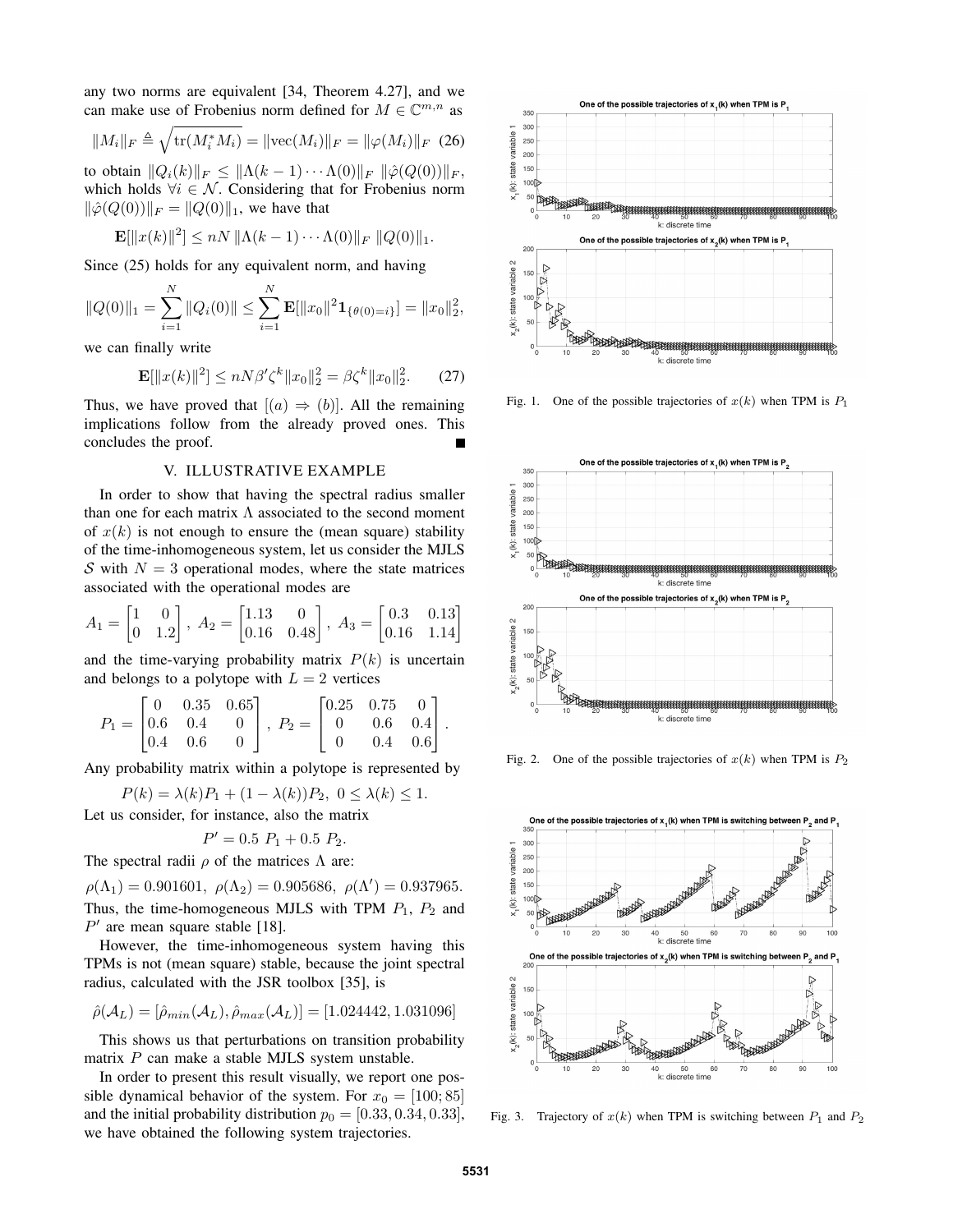any two norms are equivalent [34, Theorem 4.27], and we can make use of Frobenius norm defined for  $M \in \mathbb{C}^{m,n}$  as

$$
||M_i||_F \triangleq \sqrt{\text{tr}(M_i^* M_i)} = ||\text{vec}(M_i)||_F = ||\varphi(M_i)||_F
$$
 (26)

to obtain  $||Q_i(k)||_F \le ||\Lambda(k-1)\cdots\Lambda(0)||_F ||\hat{\varphi}(Q(0))||_F$ , which holds  $\forall i \in \mathcal{N}$ . Considering that for Frobenius norm  $\|\hat{\varphi}(Q(0))\|_{F} = \|Q(0)\|_{1}$ , we have that

$$
\mathbf{E}[\|x(k)\|^2] \leq nN \|\Lambda(k-1)\cdots\Lambda(0)\|_F \|Q(0)\|_1.
$$

Since (25) holds for any equivalent norm, and having

$$
||Q(0)||_1 = \sum_{i=1}^N ||Q_i(0)|| \le \sum_{i=1}^N \mathbf{E}[\|x_0\|^2 \mathbf{1}_{\{\theta(0)=i\}}] = \|x_0\|_2^2,
$$

we can finally write

$$
\mathbf{E}[\|x(k)\|^2] \le nN\beta'\zeta^k \|x_0\|_2^2 = \beta\zeta^k \|x_0\|_2^2. \tag{27}
$$

Thus, we have proved that  $[(a) \Rightarrow (b)]$ . All the remaining implications follow from the already proved ones. This concludes the proof.

### V. ILLUSTRATIVE EXAMPLE

In order to show that having the spectral radius smaller than one for each matrix  $\Lambda$  associated to the second moment of  $x(k)$  is not enough to ensure the (mean square) stability of the time-inhomogeneous system, let us consider the MJLS S with  $N = 3$  operational modes, where the state matrices associated with the operational modes are

$$
A_1 = \begin{bmatrix} 1 & 0 \\ 0 & 1.2 \end{bmatrix}, A_2 = \begin{bmatrix} 1.13 & 0 \\ 0.16 & 0.48 \end{bmatrix}, A_3 = \begin{bmatrix} 0.3 & 0.13 \\ 0.16 & 1.14 \end{bmatrix}
$$

and the time-varying probability matrix  $P(k)$  is uncertain and belongs to a polytope with  $L = 2$  vertices

$$
P_1 = \begin{bmatrix} 0 & 0.35 & 0.65 \\ 0.6 & 0.4 & 0 \\ 0.4 & 0.6 & 0 \end{bmatrix}, P_2 = \begin{bmatrix} 0.25 & 0.75 & 0 \\ 0 & 0.6 & 0.4 \\ 0 & 0.4 & 0.6 \end{bmatrix}.
$$

Any probability matrix within a polytope is represented by

$$
P(k) = \lambda(k)P_1 + (1 - \lambda(k))P_2, \ 0 \le \lambda(k) \le 1.
$$

Let us consider, for instance, also the matrix

$$
P' = 0.5 \ P_1 + 0.5 \ P_2.
$$

The spectral radii  $\rho$  of the matrices  $\Lambda$  are:

 $\rho(\Lambda_1) = 0.901601, \ \rho(\Lambda_2) = 0.905686, \ \rho(\Lambda') = 0.937965.$ Thus, the time-homogeneous MJLS with TPM  $P_1$ ,  $P_2$  and  $P'$  are mean square stable [18].

However, the time-inhomogeneous system having this TPMs is not (mean square) stable, because the joint spectral radius, calculated with the JSR toolbox [35], is

$$
\hat{\rho}(\mathcal{A}_L) = [\hat{\rho}_{min}(\mathcal{A}_L), \hat{\rho}_{max}(\mathcal{A}_L)] = [1.024442, 1.031096]
$$

This shows us that perturbations on transition probability matrix  $P$  can make a stable MJLS system unstable.

In order to present this result visually, we report one possible dynamical behavior of the system. For  $x_0 = [100; 85]$ and the initial probability distribution  $p_0 = [0.33, 0.34, 0.33]$ , we have obtained the following system trajectories.



Fig. 1. One of the possible trajectories of  $x(k)$  when TPM is  $P_1$ 



Fig. 2. One of the possible trajectories of  $x(k)$  when TPM is  $P_2$ 



Fig. 3. Trajectory of  $x(k)$  when TPM is switching between  $P_1$  and  $P_2$